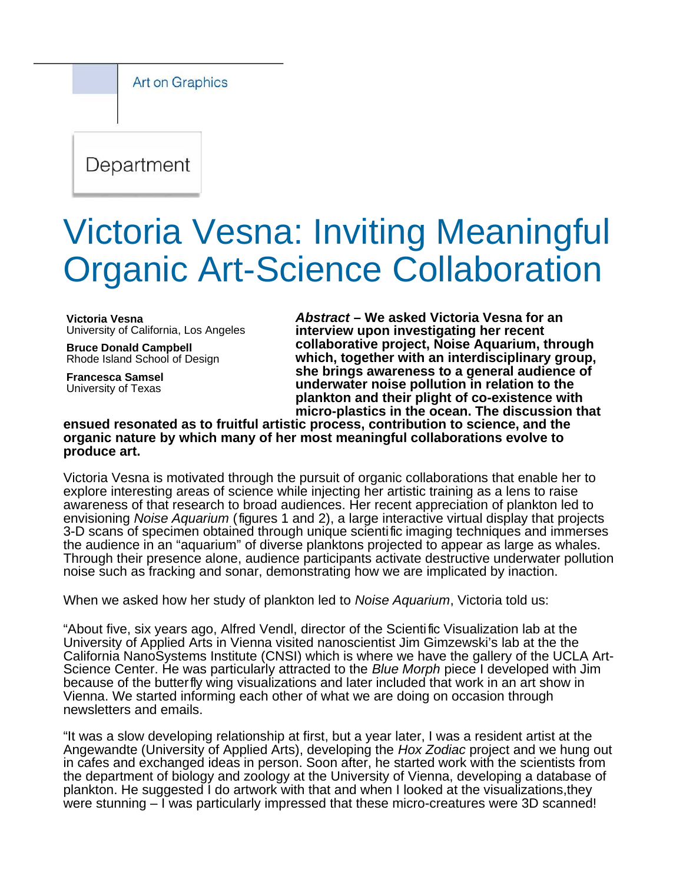**Art on Graphics** 

Department

## Victoria Vesna: Inviting Meaningful Organic Art-Science Collaboration

 **Victoria Vesna** University of California, Los Angeles

 **Bruce Donald Campbell** Rhode Island School of Design

 **Francesca Samsel** University of Texas

**Abstract – We asked Victoria Vesna for an interview upon investigating her recent collaborative project, Noise Aquarium, through which, together with an interdisciplinary group, she brings awareness to a general audience of underwater noise pollution in relation to the plankton and their plight of co-existence with micro-plastics in the ocean. The discussion that** 

## **ensued resonated as to fruitful artistic process, contribution to science, and the organic nature by which many of her most meaningful collaborations evolve to produce art.**

Victoria Vesna is motivated through the pursuit of organic collaborations that enable her to explore interesting areas of science while injecting her artistic training as a lens to raise awareness of that research to broad audiences. Her recent appreciation of plankton led to envisioning Noise Aquarium (figures 1 and 2), a large interactive virtual display that projects 3-D scans of specimen obtained through unique scientific imaging techniques and immerses the audience in an "aquarium" of diverse planktons projected to appear as large as whales. Through their presence alone, audience participants activate destructive underwater pollution noise such as fracking and sonar, demonstrating how we are implicated by inaction.

When we asked how her study of plankton led to Noise Aquarium, Victoria told us:

"About five, six years ago, Alfred Vendl, director of the Scientific Visualization lab at the University of Applied Arts in Vienna visited nanoscientist Jim Gimzewski's lab at the the California NanoSystems Institute (CNSI) which is where we have the gallery of the UCLA Art-Science Center. He was particularly attracted to the *Blue Morph* piece I developed with Jim because of the butterfly wing visualizations and later included that work in an art show in Vienna. We started informing each other of what we are doing on occasion through newsletters and emails.

"It was a slow developing relationship at first, but a year later, I was a resident artist at the Angewandte (University of Applied Arts), developing the Hox Zodiac project and we hung out in cafes and exchanged ideas in person. Soon after, he started work with the scientists from the department of biology and zoology at the University of Vienna, developing a database of plankton. He suggested I do artwork with that and when I looked at the visualizations,they were stunning – I was particularly impressed that these micro-creatures were 3D scanned!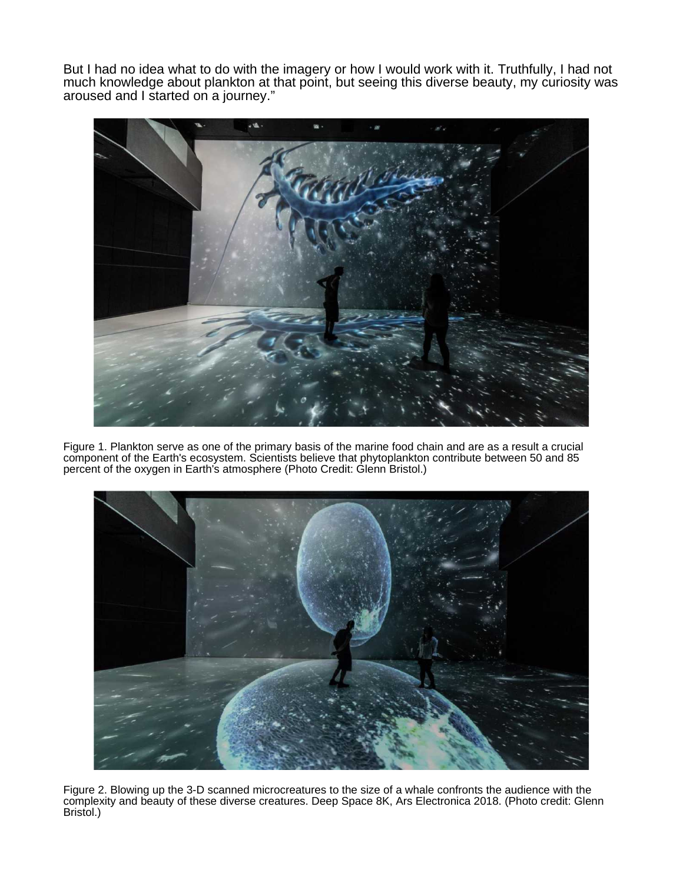But I had no idea what to do with the imagery or how I would work with it. Truthfully, I had not much knowledge about plankton at that point, but seeing this diverse beauty, my curiosity was aroused and I started on a journey."



Figure 1. Plankton serve as one of the primary basis of the marine food chain and are as a result a crucial component of the Earth's ecosystem. Scientists believe that phytoplankton contribute between 50 and 85 percent of the oxygen in Earth's atmosphere (Photo Credit: Glenn Bristol.)



Figure 2. Blowing up the 3-D scanned microcreatures to the size of a whale confronts the audience with the complexity and beauty of these diverse creatures. Deep Space 8K, Ars Electronica 2018. (Photo credit: Glenn Bristol.)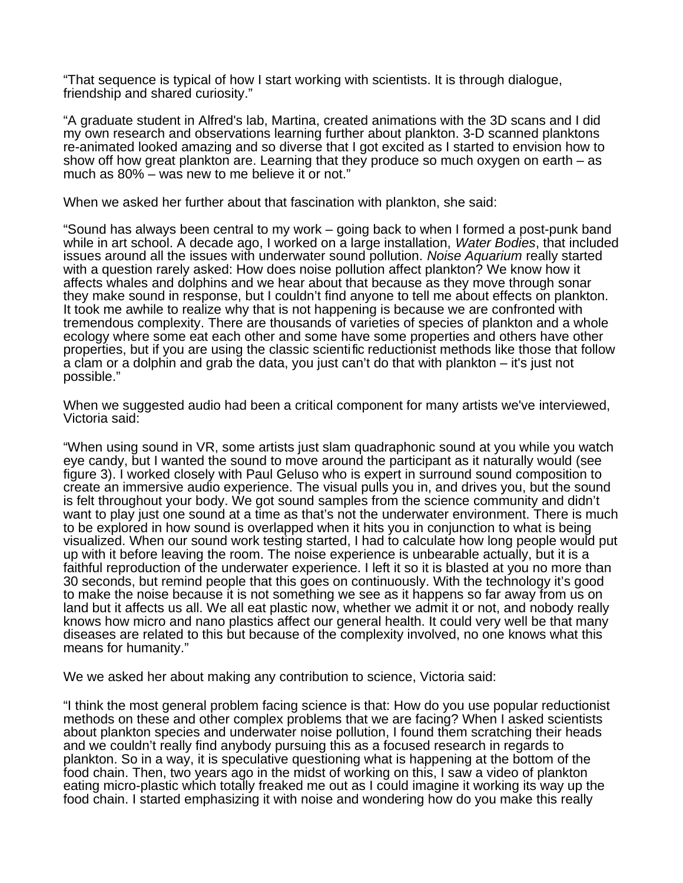"That sequence is typical of how I start working with scientists. It is through dialogue, friendship and shared curiosity."

"A graduate student in Alfred's lab, Martina, created animations with the 3D scans and I did my own research and observations learning further about plankton. 3-D scanned planktons re-animated looked amazing and so diverse that I got excited as I started to envision how to show off how great plankton are. Learning that they produce so much oxygen on earth – as much as 80% – was new to me believe it or not."

When we asked her further about that fascination with plankton, she said:

"Sound has always been central to my work – going back to when I formed a post-punk band while in art school. A decade ago, I worked on a large installation, *Water Bodies*, that included issues around all the issues with underwater sound pollution. Noise Aquarium really started with a question rarely asked: How does noise pollution affect plankton? We know how it affects whales and dolphins and we hear about that because as they move through sonar they make sound in response, but I couldn't find anyone to tell me about effects on plankton. It took me awhile to realize why that is not happening is because we are confronted with tremendous complexity. There are thousands of varieties of species of plankton and a whole ecology where some eat each other and some have some properties and others have other properties, but if you are using the classic scientific reductionist methods like those that follow a clam or a dolphin and grab the data, you just can't do that with plankton – it's just not possible."

When we suggested audio had been a critical component for many artists we've interviewed, Victoria said:

"When using sound in VR, some artists just slam quadraphonic sound at you while you watch eye candy, but I wanted the sound to move around the participant as it naturally would (see figure 3). I worked closely with Paul Geluso who is expert in surround sound composition to create an immersive audio experience. The visual pulls you in, and drives you, but the sound is felt throughout your body. We got sound samples from the science community and didn't want to play just one sound at a time as that's not the underwater environment. There is much to be explored in how sound is overlapped when it hits you in conjunction to what is being visualized. When our sound work testing started, I had to calculate how long people would put up with it before leaving the room. The noise experience is unbearable actually, but it is a faithful reproduction of the underwater experience. I left it so it is blasted at you no more than 30 seconds, but remind people that this goes on continuously. With the technology it's good to make the noise because it is not something we see as it happens so far away from us on land but it affects us all. We all eat plastic now, whether we admit it or not, and nobody really knows how micro and nano plastics affect our general health. It could very well be that many diseases are related to this but because of the complexity involved, no one knows what this means for humanity."

We we asked her about making any contribution to science, Victoria said:

"I think the most general problem facing science is that: How do you use popular reductionist methods on these and other complex problems that we are facing? When I asked scientists about plankton species and underwater noise pollution, I found them scratching their heads and we couldn't really find anybody pursuing this as a focused research in regards to plankton. So in a way, it is speculative questioning what is happening at the bottom of the food chain. Then, two years ago in the midst of working on this, I saw a video of plankton eating micro-plastic which totally freaked me out as I could imagine it working its way up the food chain. I started emphasizing it with noise and wondering how do you make this really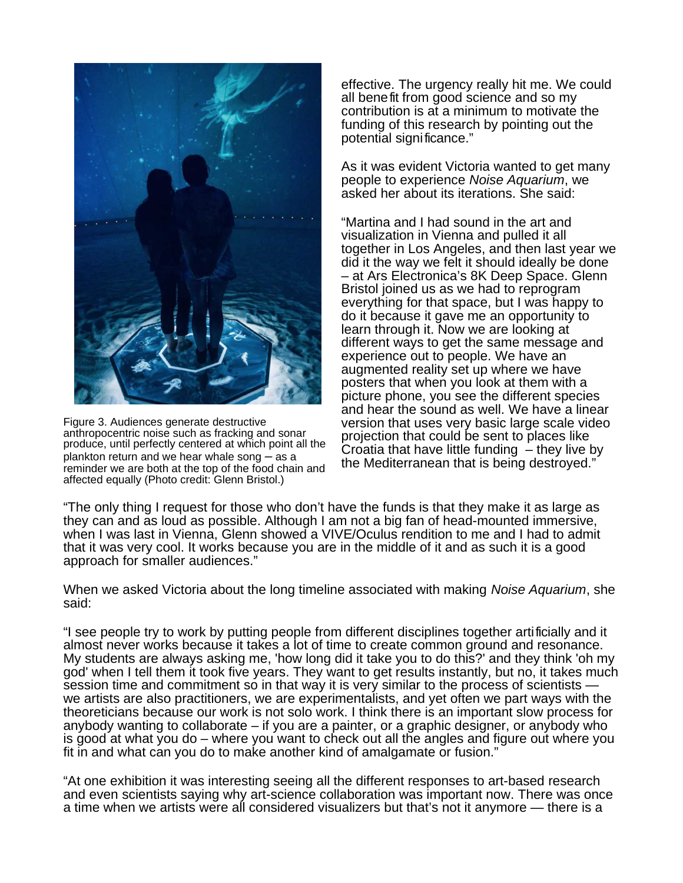

Figure 3. Audiences generate destructive anthropocentric noise such as fracking and sonar produce, until perfectly centered at which point all the plankton return and we hear whale song  $-$  as a reminder we are both at the top of the food chain and affected equally (Photo credit: Glenn Bristol.)

effective. The urgency really hit me. We could all benefit from good science and so my contribution is at a minimum to motivate the funding of this research by pointing out the potential significance."

As it was evident Victoria wanted to get many people to experience Noise Aquarium, we asked her about its iterations. She said:

"Martina and I had sound in the art and visualization in Vienna and pulled it all together in Los Angeles, and then last year we did it the way we felt it should ideally be done – at Ars Electronica's 8K Deep Space. Glenn Bristol joined us as we had to reprogram everything for that space, but I was happy to do it because it gave me an opportunity to learn through it. Now we are looking at different ways to get the same message and experience out to people. We have an augmented reality set up where we have posters that when you look at them with a picture phone, you see the different species and hear the sound as well. We have a linear version that uses very basic large scale video projection that could be sent to places like Croatia that have little funding – they live by the Mediterranean that is being destroyed."

"The only thing I request for those who don't have the funds is that they make it as large as they can and as loud as possible. Although I am not a big fan of head-mounted immersive, when I was last in Vienna, Glenn showed a VIVE/Oculus rendition to me and I had to admit that it was very cool. It works because you are in the middle of it and as such it is a good approach for smaller audiences."

When we asked Victoria about the long timeline associated with making Noise Aquarium, she said:

"I see people try to work by putting people from different disciplines together artificially and it almost never works because it takes a lot of time to create common ground and resonance. My students are always asking me, 'how long did it take you to do this?' and they think 'oh my god' when I tell them it took five years. They want to get results instantly, but no, it takes much session time and commitment so in that way it is very similar to the process of scientists we artists are also practitioners, we are experimentalists, and yet often we part ways with the theoreticians because our work is not solo work. I think there is an important slow process for anybody wanting to collaborate – if you are a painter, or a graphic designer, or anybody who is good at what you do – where you want to check out all the angles and figure out where you fit in and what can you do to make another kind of amalgamate or fusion."

"At one exhibition it was interesting seeing all the different responses to art-based research and even scientists saying why art-science collaboration was important now. There was once a time when we artists were all considered visualizers but that's not it anymore — there is a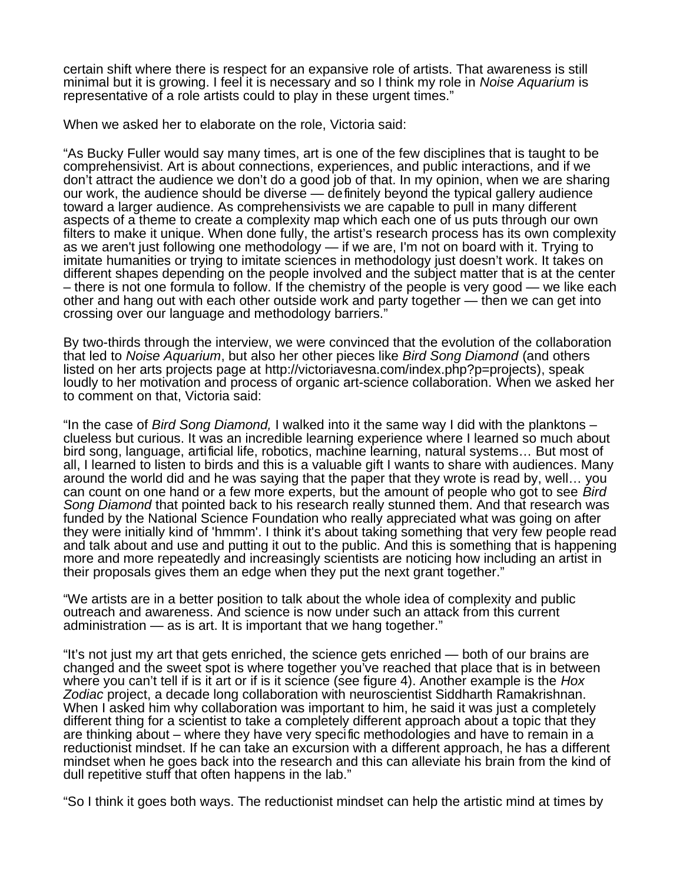certain shift where there is respect for an expansive role of artists. That awareness is still minimal but it is growing. I feel it is necessary and so I think my role in *Noise Aquarium* is representative of a role artists could to play in these urgent times."

When we asked her to elaborate on the role, Victoria said:

"As Bucky Fuller would say many times, art is one of the few disciplines that is taught to be comprehensivist. Art is about connections, experiences, and public interactions, and if we don't attract the audience we don't do a good job of that. In my opinion, when we are sharing our work, the audience should be diverse — definitely beyond the typical gallery audience toward a larger audience. As comprehensivists we are capable to pull in many different aspects of a theme to create a complexity map which each one of us puts through our own filters to make it unique. When done fully, the artist's research process has its own complexity as we aren't just following one methodology — if we are, I'm not on board with it. Trying to imitate humanities or trying to imitate sciences in methodology just doesn't work. It takes on different shapes depending on the people involved and the subject matter that is at the center – there is not one formula to follow. If the chemistry of the people is very good — we like each other and hang out with each other outside work and party together — then we can get into crossing over our language and methodology barriers."

By two-thirds through the interview, we were convinced that the evolution of the collaboration that led to Noise Aguarium, but also her other pieces like Bird Song Diamond (and others listed on her arts projects page at [http://victoriavesna.com/index.php?p=projects\)](http://victoriavesna.com/index.php?p=projects), speak loudly to her motivation and process of organic art-science collaboration. When we asked her to comment on that, Victoria said:

"In the case of *Bird Song Diamond*, I walked into it the same way I did with the planktons – clueless but curious. It was an incredible learning experience where I learned so much about bird song, language, artificial life, robotics, machine learning, natural systems… But most of all, I learned to listen to birds and this is a valuable gift I wants to share with audiences. Many around the world did and he was saying that the paper that they wrote is read by, well… you can count on one hand or a few more experts, but the amount of people who got to see Bird Song Diamond that pointed back to his research really stunned them. And that research was funded by the National Science Foundation who really appreciated what was going on after they were initially kind of 'hmmm'. I think it's about taking something that very few people read and talk about and use and putting it out to the public. And this is something that is happening more and more repeatedly and increasingly scientists are noticing how including an artist in their proposals gives them an edge when they put the next grant together."

"We artists are in a better position to talk about the whole idea of complexity and public outreach and awareness. And science is now under such an attack from this current administration — as is art. It is important that we hang together."

"It's not just my art that gets enriched, the science gets enriched — both of our brains are changed and the sweet spot is where together you've reached that place that is in between where you can't tell if is it art or if is it science (see figure 4). Another example is the Hox Zodiac project, a decade long collaboration with neuroscientist Siddharth Ramakrishnan. When I asked him why collaboration was important to him, he said it was just a completely different thing for a scientist to take a completely different approach about a topic that they are thinking about – where they have very specific methodologies and have to remain in a reductionist mindset. If he can take an excursion with a different approach, he has a different mindset when he goes back into the research and this can alleviate his brain from the kind of dull repetitive stuff that often happens in the lab."

"So I think it goes both ways. The reductionist mindset can help the artistic mind at times by